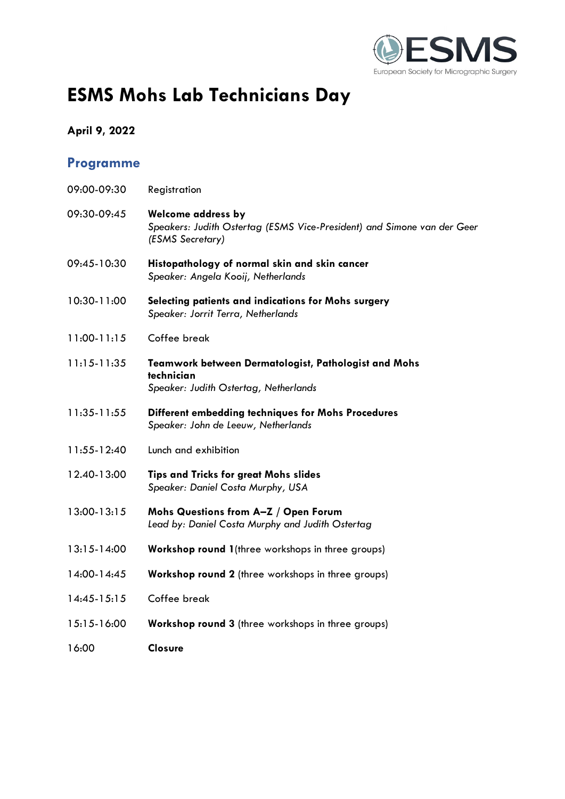

# **ESMS Mohs Lab Technicians Day**

### **April 9, 2022**

## **Programme**

| 09:00-09:30     | Registration                                                                                                             |
|-----------------|--------------------------------------------------------------------------------------------------------------------------|
| 09:30-09:45     | <b>Welcome address by</b><br>Speakers: Judith Ostertag (ESMS Vice-President) and Simone van der Geer<br>(ESMS Secretary) |
| 09:45-10:30     | Histopathology of normal skin and skin cancer<br>Speaker: Angela Kooij, Netherlands                                      |
| 10:30-11:00     | Selecting patients and indications for Mohs surgery<br>Speaker: Jorrit Terra, Netherlands                                |
| $11:00 - 11:15$ | Coffee break                                                                                                             |
| $11:15-11:35$   | Teamwork between Dermatologist, Pathologist and Mohs<br>technician<br>Speaker: Judith Ostertag, Netherlands              |
| 11:35-11:55     | Different embedding techniques for Mohs Procedures<br>Speaker: John de Leeuw, Netherlands                                |
| 11:55-12:40     | Lunch and exhibition                                                                                                     |
| 12.40-13:00     | <b>Tips and Tricks for great Mohs slides</b><br>Speaker: Daniel Costa Murphy, USA                                        |
| 13:00-13:15     | Mohs Questions from A-Z / Open Forum<br>Lead by: Daniel Costa Murphy and Judith Ostertag                                 |
| $13:15-14:00$   | Workshop round 1(three workshops in three groups)                                                                        |
| 14:00-14:45     | Workshop round 2 (three workshops in three groups)                                                                       |
| $14:45-15:15$   | Coffee break                                                                                                             |
| 15:15-16:00     | Workshop round 3 (three workshops in three groups)                                                                       |
| 16:00           | <b>Closure</b>                                                                                                           |
|                 |                                                                                                                          |